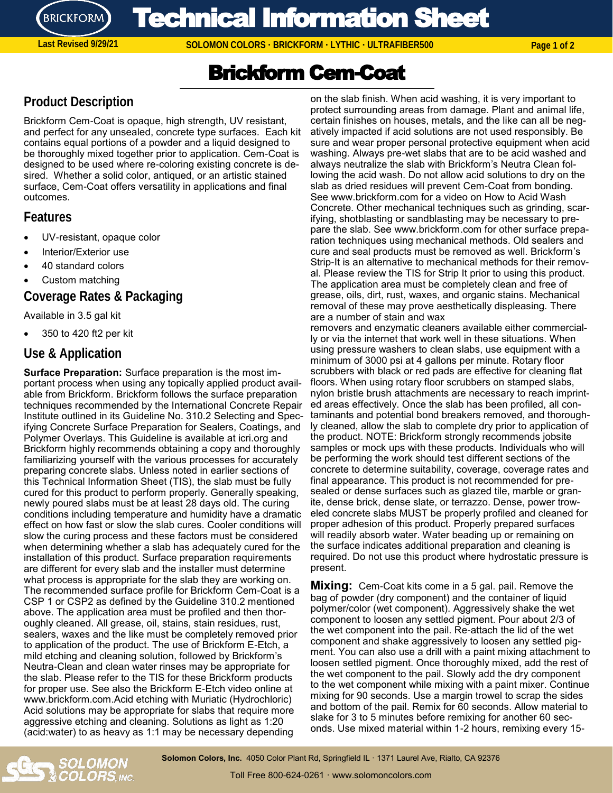

Technical Information Sheet

**SOLOMON COLORS · BRICKFORM · LYTHIC · ULTRAFIBER500 Last Revised 9/29/21 Page 1 of 2**

# Brickform Cem-Coat

# **Product Description**

Brickform Cem-Coat is opaque, high strength, UV resistant, and perfect for any unsealed, concrete type surfaces. Each kit contains equal portions of a powder and a liquid designed to be thoroughly mixed together prior to application. Cem-Coat is designed to be used where re-coloring existing concrete is desired. Whether a solid color, antiqued, or an artistic stained surface, Cem-Coat offers versatility in applications and final outcomes.

#### **Features**

- UV-resistant, opaque color
- Interior/Exterior use
- 40 standard colors
- Custom matching

#### **Coverage Rates & Packaging**

#### Available in 3.5 gal kit

• 350 to 420 ft2 per kit

#### **Use & Application**

**Surface Preparation:** Surface preparation is the most important process when using any topically applied product available from Brickform. Brickform follows the surface preparation techniques recommended by the International Concrete Repair Institute outlined in its Guideline No. 310.2 Selecting and Specifying Concrete Surface Preparation for Sealers, Coatings, and Polymer Overlays. This Guideline is available at icri.org and Brickform highly recommends obtaining a copy and thoroughly familiarizing yourself with the various processes for accurately preparing concrete slabs. Unless noted in earlier sections of this Technical Information Sheet (TIS), the slab must be fully cured for this product to perform properly. Generally speaking, newly poured slabs must be at least 28 days old. The curing conditions including temperature and humidity have a dramatic effect on how fast or slow the slab cures. Cooler conditions will slow the curing process and these factors must be considered when determining whether a slab has adequately cured for the installation of this product. Surface preparation requirements are different for every slab and the installer must determine what process is appropriate for the slab they are working on. The recommended surface profile for Brickform Cem-Coat is a CSP 1 or CSP2 as defined by the Guideline 310.2 mentioned above. The application area must be profiled and then thoroughly cleaned. All grease, oil, stains, stain residues, rust, sealers, waxes and the like must be completely removed prior to application of the product. The use of Brickform E-Etch, a mild etching and cleaning solution, followed by Brickform's Neutra-Clean and clean water rinses may be appropriate for the slab. Please refer to the TIS for these Brickform products for proper use. See also the Brickform E-Etch video online at www.brickform.com.Acid etching with Muriatic (Hydrochloric) Acid solutions may be appropriate for slabs that require more aggressive etching and cleaning. Solutions as light as 1:20 (acid:water) to as heavy as 1:1 may be necessary depending

on the slab finish. When acid washing, it is very important to protect surrounding areas from damage. Plant and animal life, certain finishes on houses, metals, and the like can all be negatively impacted if acid solutions are not used responsibly. Be sure and wear proper personal protective equipment when acid washing. Always pre-wet slabs that are to be acid washed and always neutralize the slab with Brickform's Neutra Clean following the acid wash. Do not allow acid solutions to dry on the slab as dried residues will prevent Cem-Coat from bonding. See www.brickform.com for a video on How to Acid Wash Concrete. Other mechanical techniques such as grinding, scarifying, shotblasting or sandblasting may be necessary to prepare the slab. See www.brickform.com for other surface preparation techniques using mechanical methods. Old sealers and cure and seal products must be removed as well. Brickform's Strip-It is an alternative to mechanical methods for their removal. Please review the TIS for Strip It prior to using this product. The application area must be completely clean and free of grease, oils, dirt, rust, waxes, and organic stains. Mechanical removal of these may prove aesthetically displeasing. There are a number of stain and wax

removers and enzymatic cleaners available either commercially or via the internet that work well in these situations. When using pressure washers to clean slabs, use equipment with a minimum of 3000 psi at 4 gallons per minute. Rotary floor scrubbers with black or red pads are effective for cleaning flat floors. When using rotary floor scrubbers on stamped slabs, nylon bristle brush attachments are necessary to reach imprinted areas effectively. Once the slab has been profiled, all contaminants and potential bond breakers removed, and thoroughly cleaned, allow the slab to complete dry prior to application of the product. NOTE: Brickform strongly recommends jobsite samples or mock ups with these products. Individuals who will be performing the work should test different sections of the concrete to determine suitability, coverage, coverage rates and final appearance. This product is not recommended for presealed or dense surfaces such as glazed tile, marble or granite, dense brick, dense slate, or terrazzo. Dense, power troweled concrete slabs MUST be properly profiled and cleaned for proper adhesion of this product. Properly prepared surfaces will readily absorb water. Water beading up or remaining on the surface indicates additional preparation and cleaning is required. Do not use this product where hydrostatic pressure is present.

**Mixing:** Cem-Coat kits come in a 5 gal. pail. Remove the bag of powder (dry component) and the container of liquid polymer/color (wet component). Aggressively shake the wet component to loosen any settled pigment. Pour about 2/3 of the wet component into the pail. Re-attach the lid of the wet component and shake aggressively to loosen any settled pigment. You can also use a drill with a paint mixing attachment to loosen settled pigment. Once thoroughly mixed, add the rest of the wet component to the pail. Slowly add the dry component to the wet component while mixing with a paint mixer. Continue mixing for 90 seconds. Use a margin trowel to scrap the sides and bottom of the pail. Remix for 60 seconds. Allow material to slake for 3 to 5 minutes before remixing for another 60 seconds. Use mixed material within 1-2 hours, remixing every 15-



**Solomon Colors, Inc.** 4050 Color Plant Rd, Springfield IL · 1371 Laurel Ave, Rialto, CA 92376 Toll Free 800-624-0261 · www.solomoncolors.com